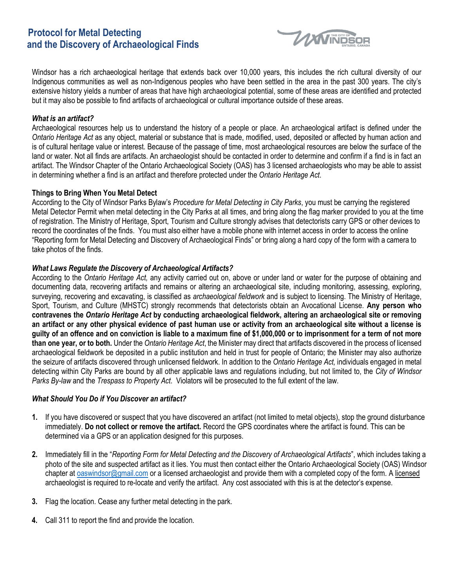# **Protocol for Metal Detecting and the Discovery of Archaeological Finds**



Windsor has a rich archaeological heritage that extends back over 10,000 years, this includes the rich cultural diversity of our Indigenous communities as well as non-Indigenous peoples who have been settled in the area in the past 300 years. The city's extensive history yields a number of areas that have high archaeological potential, some of these areas are identified and protected but it may also be possible to find artifacts of archaeological or cultural importance outside of these areas.

## *What is an artifact?*

Archaeological resources help us to understand the history of a people or place. An archaeological artifact is defined under the *Ontario Heritage Act* as any object, material or substance that is made, modified, used, deposited or affected by human action and is of cultural heritage value or interest. Because of the passage of time, most archaeological resources are below the surface of the land or water. Not all finds are artifacts. An archaeologist should be contacted in order to determine and confirm if a find is in fact an artifact. The Windsor Chapter of the Ontario Archaeological Society (OAS) has 3 licensed archaeologists who may be able to assist in determining whether a find is an artifact and therefore protected under the *Ontario Heritage Act*.

### **Things to Bring When You Metal Detect**

According to the City of Windsor Parks Bylaw's *Procedure for Metal Detecting in City Parks*, you must be carrying the registered Metal Detector Permit when metal detecting in the City Parks at all times, and bring along the flag marker provided to you at the time of registration. The Ministry of Heritage, Sport, Tourism and Culture strongly advises that detectorists carry GPS or other devices to record the coordinates of the finds. You must also either have a mobile phone with internet access in order to access the online "Reporting form for Metal Detecting and Discovery of Archaeological Finds" or bring along a hard copy of the form with a camera to take photos of the finds.

### *What Laws Regulate the Discovery of Archaeological Artifacts?*

According to the *Ontario Heritage Act,* any activity carried out on, above or under land or water for the purpose of obtaining and documenting data, recovering artifacts and remains or altering an archaeological site, including monitoring, assessing, exploring, surveying, recovering and excavating, is classified as *archaeological fieldwork* and is subject to licensing. The Ministry of Heritage, Sport, Tourism, and Culture (MHSTC) strongly recommends that detectorists obtain an Avocational License. **Any person who contravenes the** *Ontario Heritage Act* **by conducting archaeological fieldwork, altering an archaeological site or removing an artifact or any other physical evidence of past human use or activity from an archaeological site without a license is guilty of an offence and on conviction is liable to a maximum fine of \$1,000,000 or to imprisonment for a term of not more than one year, or to both.** Under the *Ontario Heritage Act*, the Minister may direct that artifacts discovered in the process of licensed archaeological fieldwork be deposited in a public institution and held in trust for people of Ontario; the Minister may also authorize the seizure of artifacts discovered through unlicensed fieldwork. In addition to the *Ontario Heritage Act,* individuals engaged in metal detecting within City Parks are bound by all other applicable laws and regulations including, but not limited to, the *City of Windsor Parks By-law* and the *Trespass to Property Act*. Violators will be prosecuted to the full extent of the law.

#### *What Should You Do if You Discover an artifact?*

- **1.** If you have discovered or suspect that you have discovered an artifact (not limited to metal objects), stop the ground disturbance immediately. **Do not collect or remove the artifact.** Record the GPS coordinates where the artifact is found. This can be determined via a GPS or an application designed for this purposes.
- **2.** Immediately fill in the "*Reporting Form for Metal Detecting and the Discovery of Archaeological Artifacts*", which includes taking a photo of the site and suspected artifact as it lies. You must then contact either the Ontario Archaeological Society (OAS) Windsor chapter at **[oaswindsor@gmail.com](mailto:oaswindsor@gmail.com)** or a licensed archaeologist and provide them with a completed copy of the form. A licensed archaeologist is required to re-locate and verify the artifact. Any cost associated with this is at the detector's expense.
- **3.** Flag the location. Cease any further metal detecting in the park.
- **4.** Call 311 to report the find and provide the location.